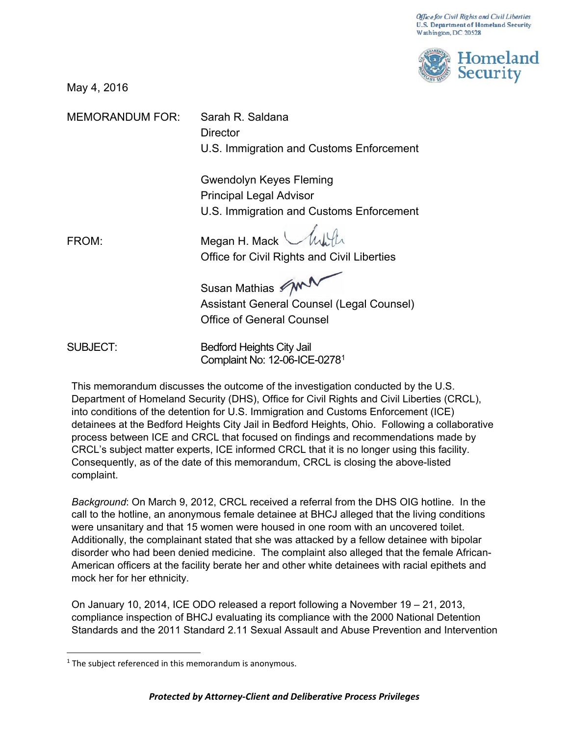

May 4, 2016

MEMORANDUM FOR: Sarah R. Saldana

**Director** U.S. Immigration and Customs Enforcement

Gwendolyn Keyes Fleming Principal Legal Advisor U.S. Immigration and Customs Enforcement

Caller FROM: Megan H. Mack Office for Civil Rights and Civil Liberties

Susan Mathias M

Assistant General Counsel (Legal Counsel) Office of General Counsel

SUBJECT: Bedford Heights City Jail Complaint No: 12-06-ICE-027[81](#page-0-0)

This memorandum discusses the outcome of the investigation conducted by the U.S. Department of Homeland Security (DHS), Office for Civil Rights and Civil Liberties (CRCL), into conditions of the detention for U.S. Immigration and Customs Enforcement (ICE) detainees at the Bedford Heights City Jail in Bedford Heights, Ohio. Following a collaborative process between ICE and CRCL that focused on findings and recommendations made by CRCL's subject matter experts, ICE informed CRCL that it is no longer using this facility. Consequently, as of the date of this memorandum, CRCL is closing the above-listed complaint.

*Background*: On March 9, 2012, CRCL received a referral from the DHS OIG hotline. In the call to the hotline, an anonymous female detainee at BHCJ alleged that the living conditions were unsanitary and that 15 women were housed in one room with an uncovered toilet. Additionally, the complainant stated that she was attacked by a fellow detainee with bipolar disorder who had been denied medicine. The complaint also alleged that the female African-American officers at the facility berate her and other white detainees with racial epithets and mock her for her ethnicity.

On January 10, 2014, ICE ODO released a report following a November 19 – 21, 2013, compliance inspection of BHCJ evaluating its compliance with the 2000 National Detention Standards and the 2011 Standard 2.11 Sexual Assault and Abuse Prevention and Intervention

<span id="page-0-0"></span> $1$  The subject referenced in this memorandum is anonymous.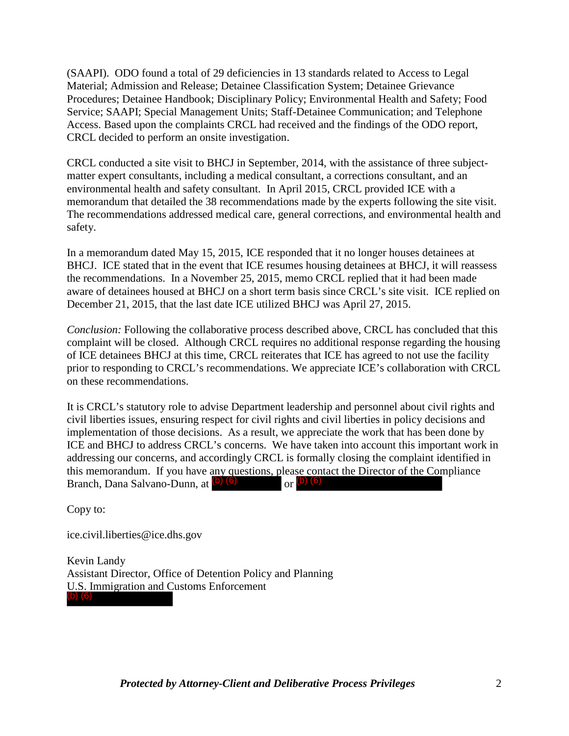(SAAPI). ODO found a total of 29 deficiencies in 13 standards related to Access to Legal Material; Admission and Release; Detainee Classification System; Detainee Grievance Procedures; Detainee Handbook; Disciplinary Policy; Environmental Health and Safety; Food Service; SAAPI; Special Management Units; Staff-Detainee Communication; and Telephone Access. Based upon the complaints CRCL had received and the findings of the ODO report, CRCL decided to perform an onsite investigation.

CRCL conducted a site visit to BHCJ in September, 2014, with the assistance of three subjectmatter expert consultants, including a medical consultant, a corrections consultant, and an environmental health and safety consultant. In April 2015, CRCL provided ICE with a memorandum that detailed the 38 recommendations made by the experts following the site visit. The recommendations addressed medical care, general corrections, and environmental health and safety.

In a memorandum dated May 15, 2015, ICE responded that it no longer houses detainees at BHCJ. ICE stated that in the event that ICE resumes housing detainees at BHCJ, it will reassess the recommendations. In a November 25, 2015, memo CRCL replied that it had been made aware of detainees housed at BHCJ on a short term basis since CRCL's site visit. ICE replied on December 21, 2015, that the last date ICE utilized BHCJ was April 27, 2015.

*Conclusion:* Following the collaborative process described above, CRCL has concluded that this complaint will be closed. Although CRCL requires no additional response regarding the housing of ICE detainees BHCJ at this time, CRCL reiterates that ICE has agreed to not use the facility prior to responding to CRCL's recommendations. We appreciate ICE's collaboration with CRCL on these recommendations.

It is CRCL's statutory role to advise Department leadership and personnel about civil rights and civil liberties issues, ensuring respect for civil rights and civil liberties in policy decisions and implementation of those decisions. As a result, we appreciate the work that has been done by ICE and BHCJ to address CRCL's concerns. We have taken into account this important work in addressing our concerns, and accordingly CRCL is formally closing the complaint identified in this memorandum. If you have any questions, please contact the Director of the Compliance Branch, Dana Salvano-Dunn, at  $\left(\frac{b}{c}\right)$  (6) or  $\left(\frac{b}{c}\right)$  (6)

Copy to:

ice.civil.liberties@ice.dhs.gov

Kevin Landy Assistant Director, Office of Detention Policy and Planning U.S. Immigration and Customs Enforcement (b) (6)